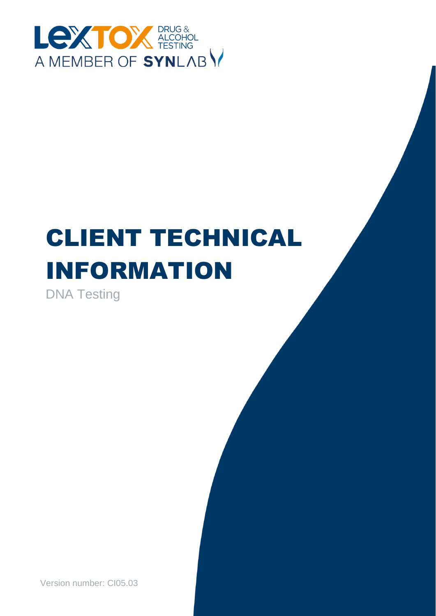

# CLIENT TECHNICAL INFORMATION

DNA Testing

Version number: CI05.03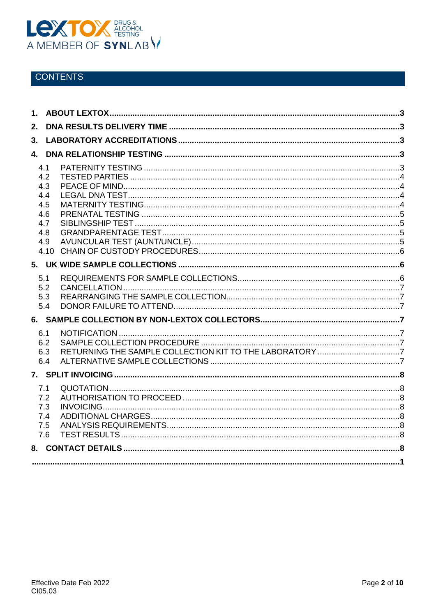

## **CONTENTS**

| 1. |                                                                                         |  |
|----|-----------------------------------------------------------------------------------------|--|
| 2. |                                                                                         |  |
| 3. |                                                                                         |  |
| 4. |                                                                                         |  |
|    | 4.1<br>4.2<br>4.3<br>4.4<br>4.5<br>4.6<br>4.7<br>4.8<br>4.9<br>5.1<br>5.2<br>5.3<br>5.4 |  |
|    |                                                                                         |  |
|    | 6.1<br>6.2<br>6.3<br>6.4                                                                |  |
|    |                                                                                         |  |
|    | 7.1<br>7.2<br>7.3<br>7.4<br>7.5<br>7.6                                                  |  |
|    |                                                                                         |  |
|    |                                                                                         |  |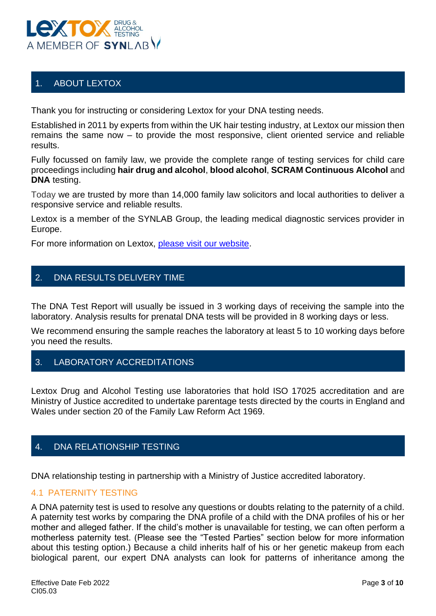

## <span id="page-2-0"></span>1. ABOUT LEXTOX

Thank you for instructing or considering Lextox for your DNA testing needs.

Established in 2011 by experts from within the UK hair testing industry, at Lextox our mission then remains the same now – to provide the most responsive, client oriented service and reliable results.

Fully focussed on family law, we provide the complete range of testing services for child care proceedings including **hair drug and alcohol**, **blood alcohol**, **SCRAM Continuous Alcohol** and **DNA** testing.

Today we are trusted by more than 14,000 family law solicitors and local authorities to deliver a responsive service and reliable results.

Lextox is a member of the SYNLAB Group, the leading medical diagnostic services provider in Europe.

For more information on Lextox, [please visit our website.](https://lextox.co.uk/)

## <span id="page-2-1"></span>2. DNA RESULTS DELIVERY TIME

The DNA Test Report will usually be issued in 3 working days of receiving the sample into the laboratory. Analysis results for prenatal DNA tests will be provided in 8 working days or less.

We recommend ensuring the sample reaches the laboratory at least 5 to 10 working days before you need the results.

## <span id="page-2-2"></span>3. LABORATORY ACCREDITATIONS

Lextox Drug and Alcohol Testing use laboratories that hold ISO 17025 accreditation and are Ministry of Justice accredited to undertake parentage tests directed by the courts in England and Wales under section 20 of the Family Law Reform Act 1969.

## <span id="page-2-3"></span>4. DNA RELATIONSHIP TESTING

DNA relationship testing in partnership with a Ministry of Justice accredited laboratory.

## <span id="page-2-4"></span>4.1 PATERNITY TESTING

A DNA paternity test is used to resolve any questions or doubts relating to the paternity of a child. A paternity test works by comparing the DNA profile of a child with the DNA profiles of his or her mother and alleged father. If the child's mother is unavailable for testing, we can often perform a motherless paternity test. (Please see the "Tested Parties" section below for more information about this testing option.) Because a child inherits half of his or her genetic makeup from each biological parent, our expert DNA analysts can look for patterns of inheritance among the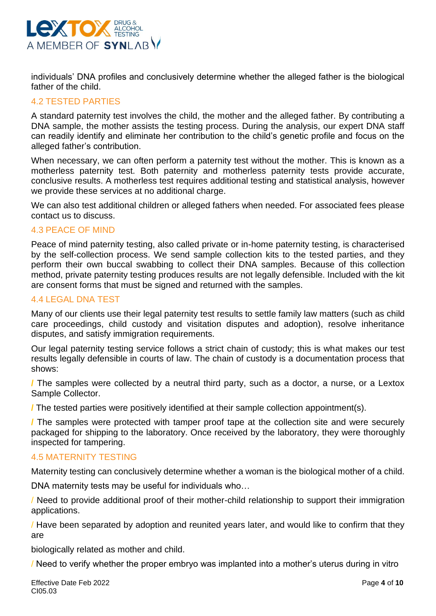

individuals' DNA profiles and conclusively determine whether the alleged father is the biological father of the child.

## <span id="page-3-0"></span>4.2 TESTED PARTIES

A standard paternity test involves the child, the mother and the alleged father. By contributing a DNA sample, the mother assists the testing process. During the analysis, our expert DNA staff can readily identify and eliminate her contribution to the child's genetic profile and focus on the alleged father's contribution.

When necessary, we can often perform a paternity test without the mother. This is known as a motherless paternity test. Both paternity and motherless paternity tests provide accurate, conclusive results. A motherless test requires additional testing and statistical analysis, however we provide these services at no additional charge.

We can also test additional children or alleged fathers when needed. For associated fees please contact us to discuss.

## <span id="page-3-1"></span>4.3 PEACE OF MIND

Peace of mind paternity testing, also called private or in-home paternity testing, is characterised by the self-collection process. We send sample collection kits to the tested parties, and they perform their own buccal swabbing to collect their DNA samples. Because of this collection method, private paternity testing produces results are not legally defensible. Included with the kit are consent forms that must be signed and returned with the samples.

#### <span id="page-3-2"></span>4.4 LEGAL DNA TEST

Many of our clients use their legal paternity test results to settle family law matters (such as child care proceedings, child custody and visitation disputes and adoption), resolve inheritance disputes, and satisfy immigration requirements.

Our legal paternity testing service follows a strict chain of custody; this is what makes our test results legally defensible in courts of law. The chain of custody is a documentation process that shows:

**/** The samples were collected by a neutral third party, such as a doctor, a nurse, or a Lextox Sample Collector.

**/** The tested parties were positively identified at their sample collection appointment(s).

**/** The samples were protected with tamper proof tape at the collection site and were securely packaged for shipping to the laboratory. Once received by the laboratory, they were thoroughly inspected for tampering.

#### <span id="page-3-3"></span>4.5 MATERNITY TESTING

Maternity testing can conclusively determine whether a woman is the biological mother of a child.

DNA maternity tests may be useful for individuals who…

/ Need to provide additional proof of their mother-child relationship to support their immigration applications.

/ Have been separated by adoption and reunited years later, and would like to confirm that they are

biologically related as mother and child.

/ Need to verify whether the proper embryo was implanted into a mother's uterus during in vitro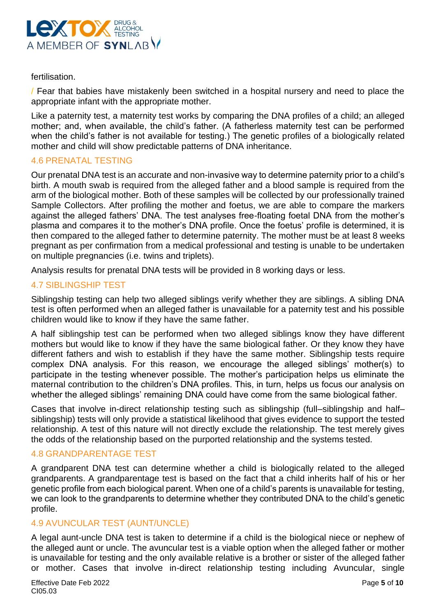

## fertilisation.

/ Fear that babies have mistakenly been switched in a hospital nursery and need to place the appropriate infant with the appropriate mother.

Like a paternity test, a maternity test works by comparing the DNA profiles of a child; an alleged mother; and, when available, the child's father. (A fatherless maternity test can be performed when the child's father is not available for testing.) The genetic profiles of a biologically related mother and child will show predictable patterns of DNA inheritance.

## <span id="page-4-0"></span>4.6 PRENATAL TESTING

Our prenatal DNA test is an accurate and non-invasive way to determine paternity prior to a child's birth. A mouth swab is required from the alleged father and a blood sample is required from the arm of the biological mother. Both of these samples will be collected by our professionally trained Sample Collectors. After profiling the mother and foetus, we are able to compare the markers against the alleged fathers' DNA. The test analyses free-floating foetal DNA from the mother's plasma and compares it to the mother's DNA profile. Once the foetus' profile is determined, it is then compared to the alleged father to determine paternity. The mother must be at least 8 weeks pregnant as per confirmation from a medical professional and testing is unable to be undertaken on multiple pregnancies (i.e. twins and triplets).

Analysis results for prenatal DNA tests will be provided in 8 working days or less.

## <span id="page-4-1"></span>4.7 SIBLINGSHIP TEST

Siblingship testing can help two alleged siblings verify whether they are siblings. A sibling DNA test is often performed when an alleged father is unavailable for a paternity test and his possible children would like to know if they have the same father.

A half siblingship test can be performed when two alleged siblings know they have different mothers but would like to know if they have the same biological father. Or they know they have different fathers and wish to establish if they have the same mother. Siblingship tests require complex DNA analysis. For this reason, we encourage the alleged siblings' mother(s) to participate in the testing whenever possible. The mother's participation helps us eliminate the maternal contribution to the children's DNA profiles. This, in turn, helps us focus our analysis on whether the alleged siblings' remaining DNA could have come from the same biological father.

Cases that involve in-direct relationship testing such as siblingship (full–siblingship and half– siblingship) tests will only provide a statistical likelihood that gives evidence to support the tested relationship. A test of this nature will not directly exclude the relationship. The test merely gives the odds of the relationship based on the purported relationship and the systems tested.

## <span id="page-4-2"></span>4.8 GRANDPARENTAGE TEST

A grandparent DNA test can determine whether a child is biologically related to the alleged grandparents. A grandparentage test is based on the fact that a child inherits half of his or her genetic profile from each biological parent. When one of a child's parents is unavailable for testing, we can look to the grandparents to determine whether they contributed DNA to the child's genetic profile.

## <span id="page-4-3"></span>4.9 AVUNCULAR TEST (AUNT/UNCLE)

A legal aunt-uncle DNA test is taken to determine if a child is the biological niece or nephew of the alleged aunt or uncle. The avuncular test is a viable option when the alleged father or mother is unavailable for testing and the only available relative is a brother or sister of the alleged father or mother. Cases that involve in-direct relationship testing including Avuncular, single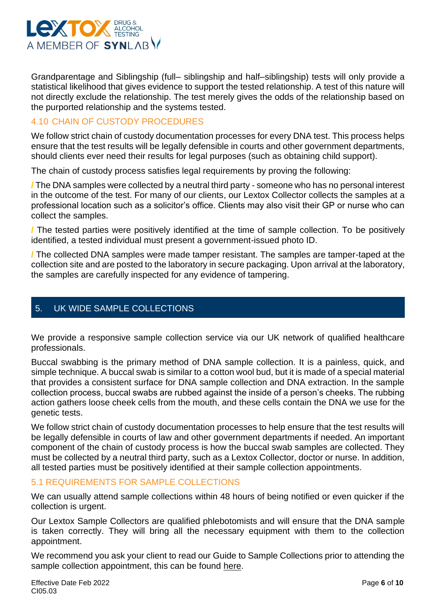

Grandparentage and Siblingship (full– siblingship and half–siblingship) tests will only provide a statistical likelihood that gives evidence to support the tested relationship. A test of this nature will not directly exclude the relationship. The test merely gives the odds of the relationship based on the purported relationship and the systems tested.

## <span id="page-5-0"></span>4.10 CHAIN OF CUSTODY PROCEDURES

We follow strict chain of custody documentation processes for every DNA test. This process helps ensure that the test results will be legally defensible in courts and other government departments, should clients ever need their results for legal purposes (such as obtaining child support).

The chain of custody process satisfies legal requirements by proving the following:

**/** The DNA samples were collected by a neutral third party - someone who has no personal interest in the outcome of the test. For many of our clients, our Lextox Collector collects the samples at a professional location such as a solicitor's office. Clients may also visit their GP or nurse who can collect the samples.

**/** The tested parties were positively identified at the time of sample collection. To be positively identified, a tested individual must present a government-issued photo ID.

**/** The collected DNA samples were made tamper resistant. The samples are tamper-taped at the collection site and are posted to the laboratory in secure packaging. Upon arrival at the laboratory, the samples are carefully inspected for any evidence of tampering.

## <span id="page-5-1"></span>5. UK WIDE SAMPLE COLLECTIONS

We provide a responsive sample collection service via our UK network of qualified healthcare professionals.

Buccal swabbing is the primary method of DNA sample collection. It is a painless, quick, and simple technique. A buccal swab is similar to a cotton wool bud, but it is made of a special material that provides a consistent surface for DNA sample collection and DNA extraction. In the sample collection process, buccal swabs are rubbed against the inside of a person's cheeks. The rubbing action gathers loose cheek cells from the mouth, and these cells contain the DNA we use for the genetic tests.

We follow strict chain of custody documentation processes to help ensure that the test results will be legally defensible in courts of law and other government departments if needed. An important component of the chain of custody process is how the buccal swab samples are collected. They must be collected by a neutral third party, such as a Lextox Collector, doctor or nurse. In addition, all tested parties must be positively identified at their sample collection appointments.

## <span id="page-5-2"></span>5.1 REQUIREMENTS FOR SAMPLE COLLECTIONS

We can usually attend sample collections within 48 hours of being notified or even quicker if the collection is urgent.

Our Lextox Sample Collectors are qualified phlebotomists and will ensure that the DNA sample is taken correctly. They will bring all the necessary equipment with them to the collection appointment.

We recommend you ask your client to read our Guide to Sample Collections prior to attending the sample collection appointment, this can be found [here.](https://lextox.co.uk/guide-to-sample-collections-2/)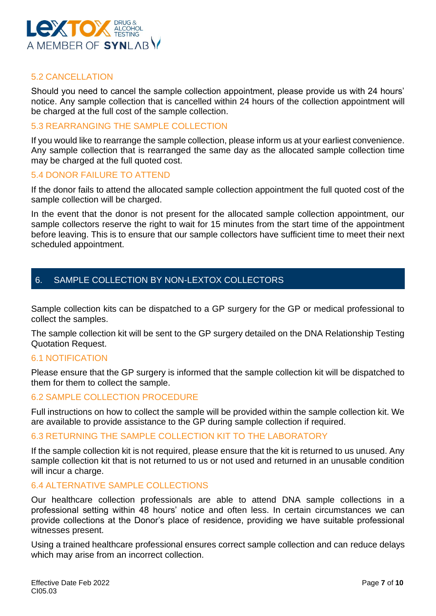

## <span id="page-6-0"></span>5.2 CANCELLATION

Should you need to cancel the sample collection appointment, please provide us with 24 hours' notice. Any sample collection that is cancelled within 24 hours of the collection appointment will be charged at the full cost of the sample collection.

## <span id="page-6-1"></span>5.3 REARRANGING THE SAMPLE COLLECTION

If you would like to rearrange the sample collection, please inform us at your earliest convenience. Any sample collection that is rearranged the same day as the allocated sample collection time may be charged at the full quoted cost.

#### <span id="page-6-2"></span>5.4 DONOR FAILURE TO ATTEND

If the donor fails to attend the allocated sample collection appointment the full quoted cost of the sample collection will be charged.

In the event that the donor is not present for the allocated sample collection appointment, our sample collectors reserve the right to wait for 15 minutes from the start time of the appointment before leaving. This is to ensure that our sample collectors have sufficient time to meet their next scheduled appointment.

## <span id="page-6-3"></span>6. SAMPLE COLLECTION BY NON-LEXTOX COLLECTORS

Sample collection kits can be dispatched to a GP surgery for the GP or medical professional to collect the samples.

The sample collection kit will be sent to the GP surgery detailed on the DNA Relationship Testing Quotation Request.

## <span id="page-6-4"></span>6.1 NOTIFICATION

Please ensure that the GP surgery is informed that the sample collection kit will be dispatched to them for them to collect the sample.

#### <span id="page-6-5"></span>6.2 SAMPLE COLLECTION PROCEDURE

Full instructions on how to collect the sample will be provided within the sample collection kit. We are available to provide assistance to the GP during sample collection if required.

## <span id="page-6-6"></span>6.3 RETURNING THE SAMPLE COLLECTION KIT TO THE LABORATORY

If the sample collection kit is not required, please ensure that the kit is returned to us unused. Any sample collection kit that is not returned to us or not used and returned in an unusable condition will incur a charge.

## <span id="page-6-7"></span>6.4 ALTERNATIVE SAMPLE COLLECTIONS

Our healthcare collection professionals are able to attend DNA sample collections in a professional setting within 48 hours' notice and often less. In certain circumstances we can provide collections at the Donor's place of residence, providing we have suitable professional witnesses present.

Using a trained healthcare professional ensures correct sample collection and can reduce delays which may arise from an incorrect collection.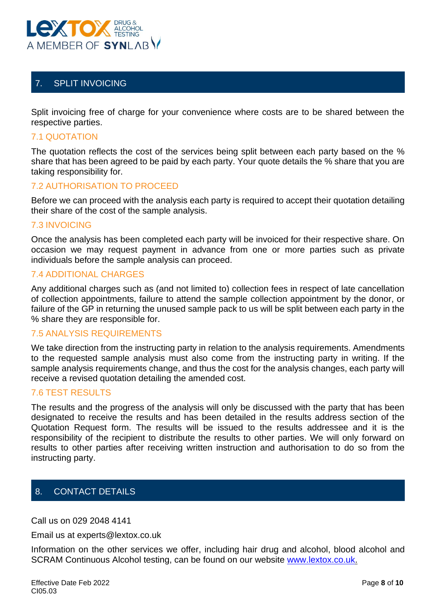

## <span id="page-7-0"></span>7. SPLIT INVOICING

Split invoicing free of charge for your convenience where costs are to be shared between the respective parties.

#### <span id="page-7-1"></span>7.1 QUOTATION

The quotation reflects the cost of the services being split between each party based on the % share that has been agreed to be paid by each party. Your quote details the % share that you are taking responsibility for.

## <span id="page-7-2"></span>7.2 AUTHORISATION TO PROCEED

Before we can proceed with the analysis each party is required to accept their quotation detailing their share of the cost of the sample analysis.

#### <span id="page-7-3"></span>7.3 INVOICING

Once the analysis has been completed each party will be invoiced for their respective share. On occasion we may request payment in advance from one or more parties such as private individuals before the sample analysis can proceed.

#### <span id="page-7-4"></span>7.4 ADDITIONAL CHARGES

Any additional charges such as (and not limited to) collection fees in respect of late cancellation of collection appointments, failure to attend the sample collection appointment by the donor, or failure of the GP in returning the unused sample pack to us will be split between each party in the % share they are responsible for.

## <span id="page-7-5"></span>7.5 ANALYSIS REQUIREMENTS

We take direction from the instructing party in relation to the analysis requirements. Amendments to the requested sample analysis must also come from the instructing party in writing. If the sample analysis requirements change, and thus the cost for the analysis changes, each party will receive a revised quotation detailing the amended cost.

## <span id="page-7-6"></span>7.6 TEST RESULTS

The results and the progress of the analysis will only be discussed with the party that has been designated to receive the results and has been detailed in the results address section of the Quotation Request form. The results will be issued to the results addressee and it is the responsibility of the recipient to distribute the results to other parties. We will only forward on results to other parties after receiving written instruction and authorisation to do so from the instructing party.

## <span id="page-7-7"></span>8. CONTACT DETAILS

Call us on 029 2048 4141

Email us at experts@lextox.co.uk

Information on the other services we offer, including hair drug and alcohol, blood alcohol and SCRAM Continuous Alcohol testing, can be found on our website [www.lextox.co.uk.](http://www.lextox.co.uk/)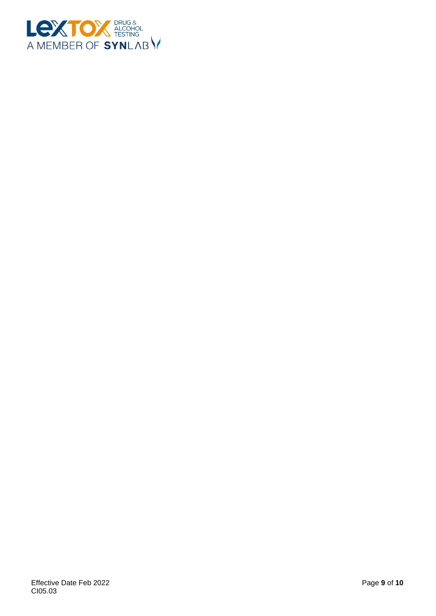